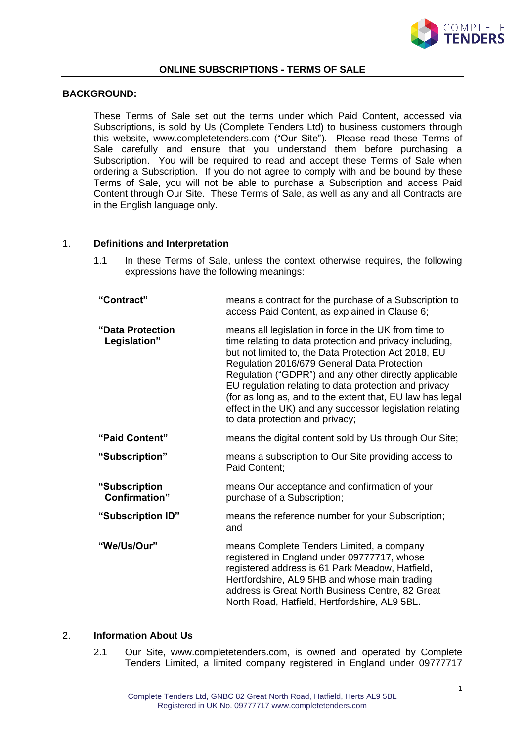

#### **ONLINE SUBSCRIPTIONS - TERMS OF SALE**

### **BACKGROUND:**

These Terms of Sale set out the terms under which Paid Content, accessed via Subscriptions, is sold by Us (Complete Tenders Ltd) to business customers through this website, www.completetenders.com ("Our Site"). Please read these Terms of Sale carefully and ensure that you understand them before purchasing a Subscription. You will be required to read and accept these Terms of Sale when ordering a Subscription. If you do not agree to comply with and be bound by these Terms of Sale, you will not be able to purchase a Subscription and access Paid Content through Our Site. These Terms of Sale, as well as any and all Contracts are in the English language only.

### 1. **Definitions and Interpretation**

- 1.1 In these Terms of Sale, unless the context otherwise requires, the following expressions have the following meanings:
- **"Contract"** means a contract for the purchase of a Subscription to access Paid Content, as explained in Clause 6; **"Data Protection Legislation"** means all legislation in force in the UK from time to time relating to data protection and privacy including, but not limited to, the Data Protection Act 2018, EU Regulation 2016/679 General Data Protection Regulation ("GDPR") and any other directly applicable EU regulation relating to data protection and privacy (for as long as, and to the extent that, EU law has legal effect in the UK) and any successor legislation relating to data protection and privacy; **"Paid Content"** means the digital content sold by Us through Our Site; **"Subscription"** means a subscription to Our Site providing access to Paid Content; **"Subscription Confirmation"** means Our acceptance and confirmation of your purchase of a Subscription; **"Subscription ID"** means the reference number for your Subscription; and **"We/Us/Our"** means Complete Tenders Limited, a company registered in England under 09777717, whose registered address is 61 Park Meadow, Hatfield, Hertfordshire, AL9 5HB and whose main trading address is Great North Business Centre, 82 Great

#### 2. **Information About Us**

2.1 Our Site, www.completetenders.com, is owned and operated by Complete Tenders Limited, a limited company registered in England under 09777717

North Road, Hatfield, Hertfordshire, AL9 5BL.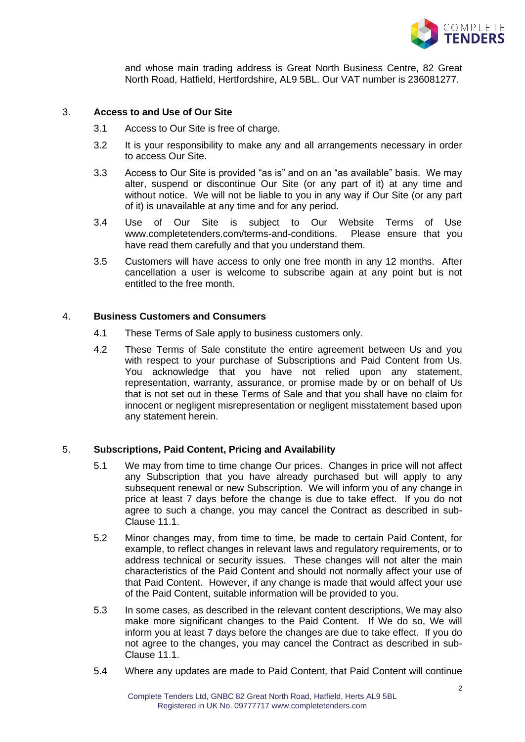

and whose main trading address is Great North Business Centre, 82 Great North Road, Hatfield, Hertfordshire, AL9 5BL. Our VAT number is 236081277.

## 3. **Access to and Use of Our Site**

- 3.1 Access to Our Site is free of charge.
- 3.2 It is your responsibility to make any and all arrangements necessary in order to access Our Site.
- 3.3 Access to Our Site is provided "as is" and on an "as available" basis. We may alter, suspend or discontinue Our Site (or any part of it) at any time and without notice. We will not be liable to you in any way if Our Site (or any part of it) is unavailable at any time and for any period.
- 3.4 Use of Our Site is subject to Our Website Terms of Use www.completetenders.com/terms-and-conditions. Please ensure that you have read them carefully and that you understand them.
- 3.5 Customers will have access to only one free month in any 12 months. After cancellation a user is welcome to subscribe again at any point but is not entitled to the free month.

## 4. **Business Customers and Consumers**

- 4.1 These Terms of Sale apply to business customers only.
- 4.2 These Terms of Sale constitute the entire agreement between Us and you with respect to your purchase of Subscriptions and Paid Content from Us. You acknowledge that you have not relied upon any statement, representation, warranty, assurance, or promise made by or on behalf of Us that is not set out in these Terms of Sale and that you shall have no claim for innocent or negligent misrepresentation or negligent misstatement based upon any statement herein.

# 5. **Subscriptions, Paid Content, Pricing and Availability**

- 5.1 We may from time to time change Our prices. Changes in price will not affect any Subscription that you have already purchased but will apply to any subsequent renewal or new Subscription. We will inform you of any change in price at least 7 days before the change is due to take effect. If you do not agree to such a change, you may cancel the Contract as described in sub-Clause 11.1.
- 5.2 Minor changes may, from time to time, be made to certain Paid Content, for example, to reflect changes in relevant laws and regulatory requirements, or to address technical or security issues. These changes will not alter the main characteristics of the Paid Content and should not normally affect your use of that Paid Content. However, if any change is made that would affect your use of the Paid Content, suitable information will be provided to you.
- 5.3 In some cases, as described in the relevant content descriptions, We may also make more significant changes to the Paid Content. If We do so, We will inform you at least 7 days before the changes are due to take effect. If you do not agree to the changes, you may cancel the Contract as described in sub-Clause 11.1.
- 5.4 Where any updates are made to Paid Content, that Paid Content will continue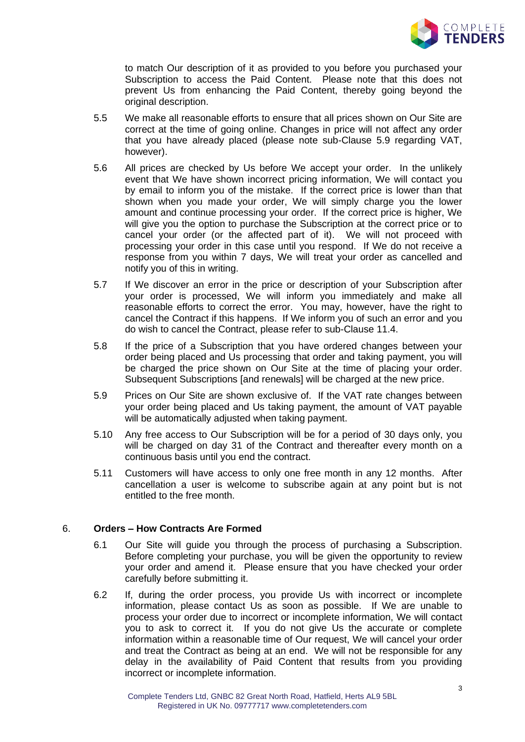

to match Our description of it as provided to you before you purchased your Subscription to access the Paid Content. Please note that this does not prevent Us from enhancing the Paid Content, thereby going beyond the original description.

- 5.5 We make all reasonable efforts to ensure that all prices shown on Our Site are correct at the time of going online. Changes in price will not affect any order that you have already placed (please note sub-Clause 5.9 regarding VAT, however).
- 5.6 All prices are checked by Us before We accept your order. In the unlikely event that We have shown incorrect pricing information, We will contact you by email to inform you of the mistake. If the correct price is lower than that shown when you made your order, We will simply charge you the lower amount and continue processing your order. If the correct price is higher, We will give you the option to purchase the Subscription at the correct price or to cancel your order (or the affected part of it). We will not proceed with processing your order in this case until you respond. If We do not receive a response from you within 7 days, We will treat your order as cancelled and notify you of this in writing.
- 5.7 If We discover an error in the price or description of your Subscription after your order is processed, We will inform you immediately and make all reasonable efforts to correct the error. You may, however, have the right to cancel the Contract if this happens. If We inform you of such an error and you do wish to cancel the Contract, please refer to sub-Clause 11.4.
- 5.8 If the price of a Subscription that you have ordered changes between your order being placed and Us processing that order and taking payment, you will be charged the price shown on Our Site at the time of placing your order. Subsequent Subscriptions [and renewals] will be charged at the new price.
- 5.9 Prices on Our Site are shown exclusive of. If the VAT rate changes between your order being placed and Us taking payment, the amount of VAT payable will be automatically adjusted when taking payment.
- 5.10 Any free access to Our Subscription will be for a period of 30 days only, you will be charged on day 31 of the Contract and thereafter every month on a continuous basis until you end the contract.
- 5.11 Customers will have access to only one free month in any 12 months. After cancellation a user is welcome to subscribe again at any point but is not entitled to the free month.

# 6. **Orders – How Contracts Are Formed**

- 6.1 Our Site will guide you through the process of purchasing a Subscription. Before completing your purchase, you will be given the opportunity to review your order and amend it. Please ensure that you have checked your order carefully before submitting it.
- 6.2 If, during the order process, you provide Us with incorrect or incomplete information, please contact Us as soon as possible. If We are unable to process your order due to incorrect or incomplete information, We will contact you to ask to correct it. If you do not give Us the accurate or complete information within a reasonable time of Our request, We will cancel your order and treat the Contract as being at an end. We will not be responsible for any delay in the availability of Paid Content that results from you providing incorrect or incomplete information.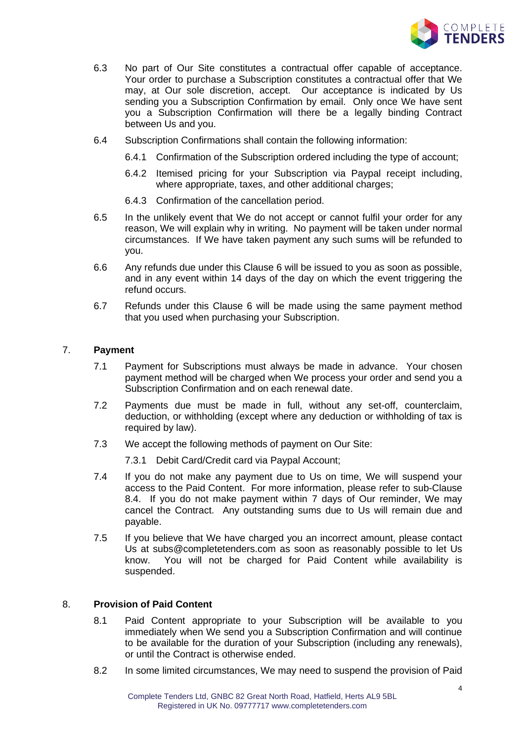

- 6.3 No part of Our Site constitutes a contractual offer capable of acceptance. Your order to purchase a Subscription constitutes a contractual offer that We may, at Our sole discretion, accept. Our acceptance is indicated by Us sending you a Subscription Confirmation by email. Only once We have sent you a Subscription Confirmation will there be a legally binding Contract between Us and you.
- 6.4 Subscription Confirmations shall contain the following information:
	- 6.4.1 Confirmation of the Subscription ordered including the type of account;
	- 6.4.2 Itemised pricing for your Subscription via Paypal receipt including, where appropriate, taxes, and other additional charges;
	- 6.4.3 Confirmation of the cancellation period.
- 6.5 In the unlikely event that We do not accept or cannot fulfil your order for any reason, We will explain why in writing. No payment will be taken under normal circumstances. If We have taken payment any such sums will be refunded to you.
- 6.6 Any refunds due under this Clause 6 will be issued to you as soon as possible, and in any event within 14 days of the day on which the event triggering the refund occurs.
- 6.7 Refunds under this Clause 6 will be made using the same payment method that you used when purchasing your Subscription.

## 7. **Payment**

- 7.1 Payment for Subscriptions must always be made in advance. Your chosen payment method will be charged when We process your order and send you a Subscription Confirmation and on each renewal date.
- 7.2 Payments due must be made in full, without any set-off, counterclaim, deduction, or withholding (except where any deduction or withholding of tax is required by law).
- 7.3 We accept the following methods of payment on Our Site:
	- 7.3.1 Debit Card/Credit card via Paypal Account;
- 7.4 If you do not make any payment due to Us on time, We will suspend your access to the Paid Content. For more information, please refer to sub-Clause 8.4. If you do not make payment within 7 days of Our reminder, We may cancel the Contract. Any outstanding sums due to Us will remain due and payable.
- 7.5 If you believe that We have charged you an incorrect amount, please contact Us at subs@completetenders.com as soon as reasonably possible to let Us know. You will not be charged for Paid Content while availability is suspended.

## 8. **Provision of Paid Content**

- 8.1 Paid Content appropriate to your Subscription will be available to you immediately when We send you a Subscription Confirmation and will continue to be available for the duration of your Subscription (including any renewals), or until the Contract is otherwise ended.
- 8.2 In some limited circumstances, We may need to suspend the provision of Paid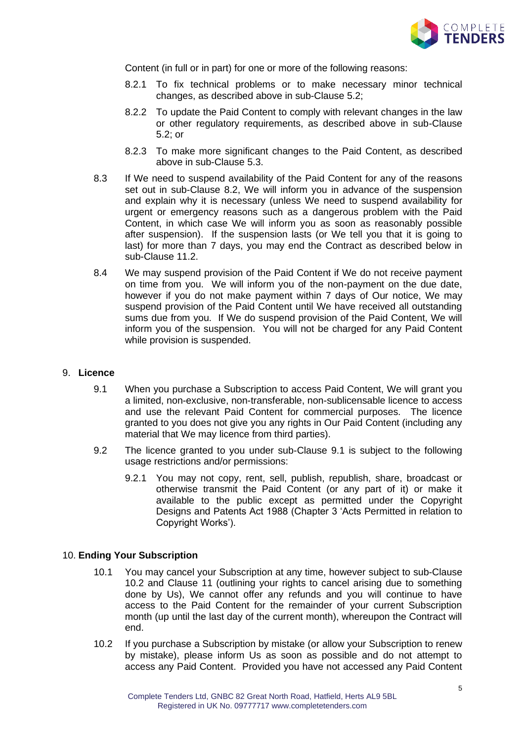

Content (in full or in part) for one or more of the following reasons:

- 8.2.1 To fix technical problems or to make necessary minor technical changes, as described above in sub-Clause 5.2;
- 8.2.2 To update the Paid Content to comply with relevant changes in the law or other regulatory requirements, as described above in sub-Clause 5.2; or
- 8.2.3 To make more significant changes to the Paid Content, as described above in sub-Clause 5.3.
- 8.3 If We need to suspend availability of the Paid Content for any of the reasons set out in sub-Clause 8.2, We will inform you in advance of the suspension and explain why it is necessary (unless We need to suspend availability for urgent or emergency reasons such as a dangerous problem with the Paid Content, in which case We will inform you as soon as reasonably possible after suspension). If the suspension lasts (or We tell you that it is going to last) for more than 7 days, you may end the Contract as described below in sub-Clause 11.2.
- 8.4 We may suspend provision of the Paid Content if We do not receive payment on time from you. We will inform you of the non-payment on the due date, however if you do not make payment within 7 days of Our notice, We may suspend provision of the Paid Content until We have received all outstanding sums due from you. If We do suspend provision of the Paid Content, We will inform you of the suspension. You will not be charged for any Paid Content while provision is suspended.

### 9. **Licence**

- 9.1 When you purchase a Subscription to access Paid Content, We will grant you a limited, non-exclusive, non-transferable, non-sublicensable licence to access and use the relevant Paid Content for commercial purposes. The licence granted to you does not give you any rights in Our Paid Content (including any material that We may licence from third parties).
- 9.2 The licence granted to you under sub-Clause 9.1 is subject to the following usage restrictions and/or permissions:
	- 9.2.1 You may not copy, rent, sell, publish, republish, share, broadcast or otherwise transmit the Paid Content (or any part of it) or make it available to the public except as permitted under the Copyright Designs and Patents Act 1988 (Chapter 3 'Acts Permitted in relation to Copyright Works').

### 10. **Ending Your Subscription**

- 10.1 You may cancel your Subscription at any time, however subject to sub-Clause 10.2 and Clause 11 (outlining your rights to cancel arising due to something done by Us), We cannot offer any refunds and you will continue to have access to the Paid Content for the remainder of your current Subscription month (up until the last day of the current month), whereupon the Contract will end.
- 10.2 If you purchase a Subscription by mistake (or allow your Subscription to renew by mistake), please inform Us as soon as possible and do not attempt to access any Paid Content. Provided you have not accessed any Paid Content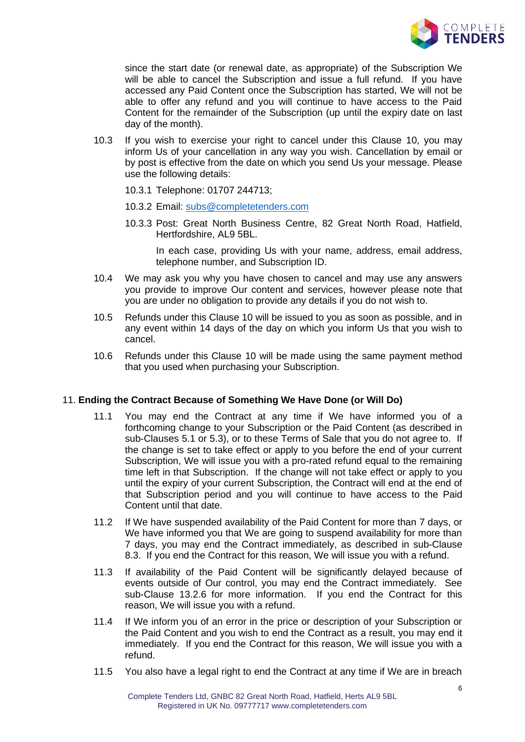

since the start date (or renewal date, as appropriate) of the Subscription We will be able to cancel the Subscription and issue a full refund. If you have accessed any Paid Content once the Subscription has started, We will not be able to offer any refund and you will continue to have access to the Paid Content for the remainder of the Subscription (up until the expiry date on last day of the month).

- 10.3 If you wish to exercise your right to cancel under this Clause 10, you may inform Us of your cancellation in any way you wish. Cancellation by email or by post is effective from the date on which you send Us your message. Please use the following details:
	- 10.3.1 Telephone: 01707 244713;
	- 10.3.2 Email: [subs@completetenders.com](mailto:subs@completetenders.com)
	- 10.3.3 Post: Great North Business Centre, 82 Great North Road, Hatfield, Hertfordshire, AL9 5BL.

In each case, providing Us with your name, address, email address, telephone number, and Subscription ID.

- 10.4 We may ask you why you have chosen to cancel and may use any answers you provide to improve Our content and services, however please note that you are under no obligation to provide any details if you do not wish to.
- 10.5 Refunds under this Clause 10 will be issued to you as soon as possible, and in any event within 14 days of the day on which you inform Us that you wish to cancel.
- 10.6 Refunds under this Clause 10 will be made using the same payment method that you used when purchasing your Subscription.

### 11. **Ending the Contract Because of Something We Have Done (or Will Do)**

- 11.1 You may end the Contract at any time if We have informed you of a forthcoming change to your Subscription or the Paid Content (as described in sub-Clauses 5.1 or 5.3), or to these Terms of Sale that you do not agree to. If the change is set to take effect or apply to you before the end of your current Subscription, We will issue you with a pro-rated refund equal to the remaining time left in that Subscription. If the change will not take effect or apply to you until the expiry of your current Subscription, the Contract will end at the end of that Subscription period and you will continue to have access to the Paid Content until that date.
- 11.2 If We have suspended availability of the Paid Content for more than 7 days, or We have informed you that We are going to suspend availability for more than 7 days, you may end the Contract immediately, as described in sub-Clause 8.3. If you end the Contract for this reason, We will issue you with a refund.
- 11.3 If availability of the Paid Content will be significantly delayed because of events outside of Our control, you may end the Contract immediately. See sub-Clause 13.2.6 for more information. If you end the Contract for this reason, We will issue you with a refund.
- 11.4 If We inform you of an error in the price or description of your Subscription or the Paid Content and you wish to end the Contract as a result, you may end it immediately. If you end the Contract for this reason, We will issue you with a refund.
- 11.5 You also have a legal right to end the Contract at any time if We are in breach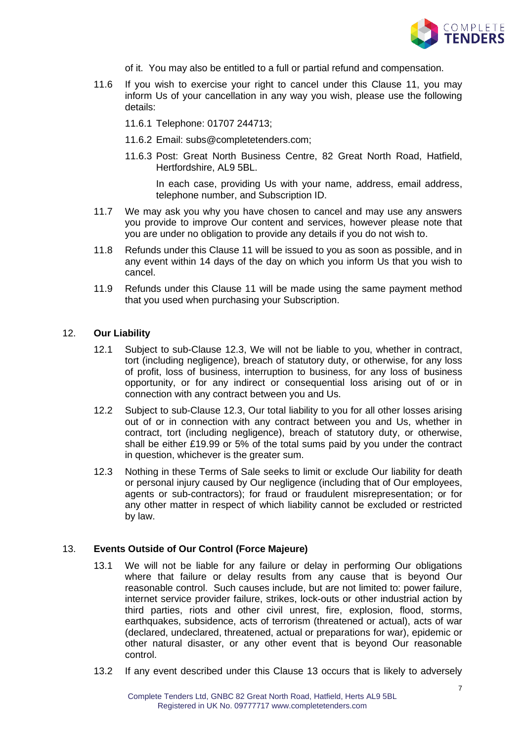

- of it. You may also be entitled to a full or partial refund and compensation.
- 11.6 If you wish to exercise your right to cancel under this Clause 11, you may inform Us of your cancellation in any way you wish, please use the following details:
	- 11.6.1 Telephone: 01707 244713;
	- 11.6.2 Email: subs@completetenders.com;
	- 11.6.3 Post: Great North Business Centre, 82 Great North Road, Hatfield, Hertfordshire, AL9 5BL.

In each case, providing Us with your name, address, email address, telephone number, and Subscription ID.

- 11.7 We may ask you why you have chosen to cancel and may use any answers you provide to improve Our content and services, however please note that you are under no obligation to provide any details if you do not wish to.
- 11.8 Refunds under this Clause 11 will be issued to you as soon as possible, and in any event within 14 days of the day on which you inform Us that you wish to cancel.
- 11.9 Refunds under this Clause 11 will be made using the same payment method that you used when purchasing your Subscription.

## 12. **Our Liability**

- 12.1 Subject to sub-Clause 12.3, We will not be liable to you, whether in contract, tort (including negligence), breach of statutory duty, or otherwise, for any loss of profit, loss of business, interruption to business, for any loss of business opportunity, or for any indirect or consequential loss arising out of or in connection with any contract between you and Us.
- 12.2 Subject to sub-Clause 12.3, Our total liability to you for all other losses arising out of or in connection with any contract between you and Us, whether in contract, tort (including negligence), breach of statutory duty, or otherwise, shall be either £19.99 or 5% of the total sums paid by you under the contract in question, whichever is the greater sum.
- 12.3 Nothing in these Terms of Sale seeks to limit or exclude Our liability for death or personal injury caused by Our negligence (including that of Our employees, agents or sub-contractors); for fraud or fraudulent misrepresentation; or for any other matter in respect of which liability cannot be excluded or restricted by law.

### 13. **Events Outside of Our Control (Force Majeure)**

- 13.1 We will not be liable for any failure or delay in performing Our obligations where that failure or delay results from any cause that is beyond Our reasonable control. Such causes include, but are not limited to: power failure, internet service provider failure, strikes, lock-outs or other industrial action by third parties, riots and other civil unrest, fire, explosion, flood, storms, earthquakes, subsidence, acts of terrorism (threatened or actual), acts of war (declared, undeclared, threatened, actual or preparations for war), epidemic or other natural disaster, or any other event that is beyond Our reasonable control.
- 13.2 If any event described under this Clause 13 occurs that is likely to adversely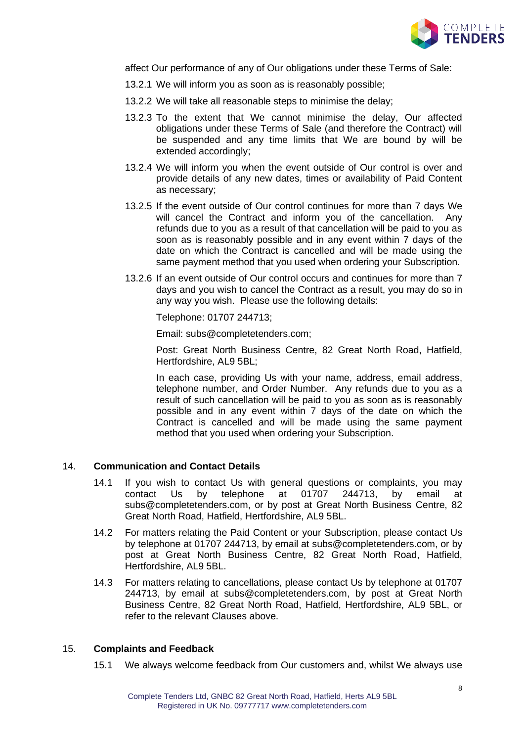

affect Our performance of any of Our obligations under these Terms of Sale:

- 13.2.1 We will inform you as soon as is reasonably possible;
- 13.2.2 We will take all reasonable steps to minimise the delay;
- 13.2.3 To the extent that We cannot minimise the delay, Our affected obligations under these Terms of Sale (and therefore the Contract) will be suspended and any time limits that We are bound by will be extended accordingly;
- 13.2.4 We will inform you when the event outside of Our control is over and provide details of any new dates, times or availability of Paid Content as necessary;
- 13.2.5 If the event outside of Our control continues for more than 7 days We will cancel the Contract and inform you of the cancellation. Any refunds due to you as a result of that cancellation will be paid to you as soon as is reasonably possible and in any event within 7 days of the date on which the Contract is cancelled and will be made using the same payment method that you used when ordering your Subscription.
- 13.2.6 If an event outside of Our control occurs and continues for more than 7 days and you wish to cancel the Contract as a result, you may do so in any way you wish. Please use the following details:

Telephone: 01707 244713;

Email: subs@completetenders.com;

Post: Great North Business Centre, 82 Great North Road, Hatfield, Hertfordshire, AL9 5BL;

In each case, providing Us with your name, address, email address, telephone number, and Order Number. Any refunds due to you as a result of such cancellation will be paid to you as soon as is reasonably possible and in any event within 7 days of the date on which the Contract is cancelled and will be made using the same payment method that you used when ordering your Subscription.

### 14. **Communication and Contact Details**

- 14.1 If you wish to contact Us with general questions or complaints, you may contact Us by telephone at 01707 244713, by email at subs@completetenders.com, or by post at Great North Business Centre, 82 Great North Road, Hatfield, Hertfordshire, AL9 5BL.
- 14.2 For matters relating the Paid Content or your Subscription, please contact Us by telephone at 01707 244713, by email at subs@completetenders.com, or by post at Great North Business Centre, 82 Great North Road, Hatfield, Hertfordshire, AL9 5BL.
- 14.3 For matters relating to cancellations, please contact Us by telephone at 01707 244713, by email at subs@completetenders.com, by post at Great North Business Centre, 82 Great North Road, Hatfield, Hertfordshire, AL9 5BL, or refer to the relevant Clauses above.

#### 15. **Complaints and Feedback**

15.1 We always welcome feedback from Our customers and, whilst We always use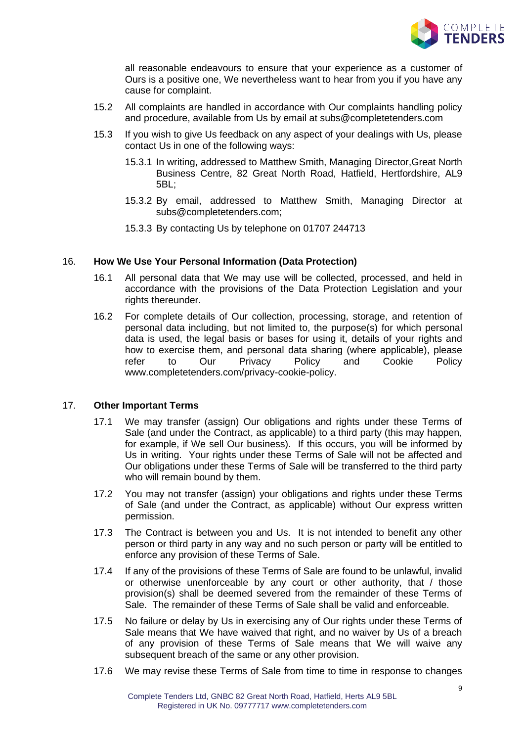

all reasonable endeavours to ensure that your experience as a customer of Ours is a positive one, We nevertheless want to hear from you if you have any cause for complaint.

- 15.2 All complaints are handled in accordance with Our complaints handling policy and procedure, available from Us by email at subs@completetenders.com
- 15.3 If you wish to give Us feedback on any aspect of your dealings with Us, please contact Us in one of the following ways:
	- 15.3.1 In writing, addressed to Matthew Smith, Managing Director,Great North Business Centre, 82 Great North Road, Hatfield, Hertfordshire, AL9 5BL;
	- 15.3.2 By email, addressed to Matthew Smith, Managing Director at subs@completetenders.com;
	- 15.3.3 By contacting Us by telephone on 01707 244713

## 16. **How We Use Your Personal Information (Data Protection)**

- 16.1 All personal data that We may use will be collected, processed, and held in accordance with the provisions of the Data Protection Legislation and your rights thereunder.
- 16.2 For complete details of Our collection, processing, storage, and retention of personal data including, but not limited to, the purpose(s) for which personal data is used, the legal basis or bases for using it, details of your rights and how to exercise them, and personal data sharing (where applicable), please refer to Our Privacy Policy and Cookie Policy www.completetenders.com/privacy-cookie-policy.

# 17. **Other Important Terms**

- 17.1 We may transfer (assign) Our obligations and rights under these Terms of Sale (and under the Contract, as applicable) to a third party (this may happen, for example, if We sell Our business). If this occurs, you will be informed by Us in writing. Your rights under these Terms of Sale will not be affected and Our obligations under these Terms of Sale will be transferred to the third party who will remain bound by them.
- 17.2 You may not transfer (assign) your obligations and rights under these Terms of Sale (and under the Contract, as applicable) without Our express written permission.
- 17.3 The Contract is between you and Us. It is not intended to benefit any other person or third party in any way and no such person or party will be entitled to enforce any provision of these Terms of Sale.
- 17.4 If any of the provisions of these Terms of Sale are found to be unlawful, invalid or otherwise unenforceable by any court or other authority, that / those provision(s) shall be deemed severed from the remainder of these Terms of Sale. The remainder of these Terms of Sale shall be valid and enforceable.
- 17.5 No failure or delay by Us in exercising any of Our rights under these Terms of Sale means that We have waived that right, and no waiver by Us of a breach of any provision of these Terms of Sale means that We will waive any subsequent breach of the same or any other provision.
- 17.6 We may revise these Terms of Sale from time to time in response to changes